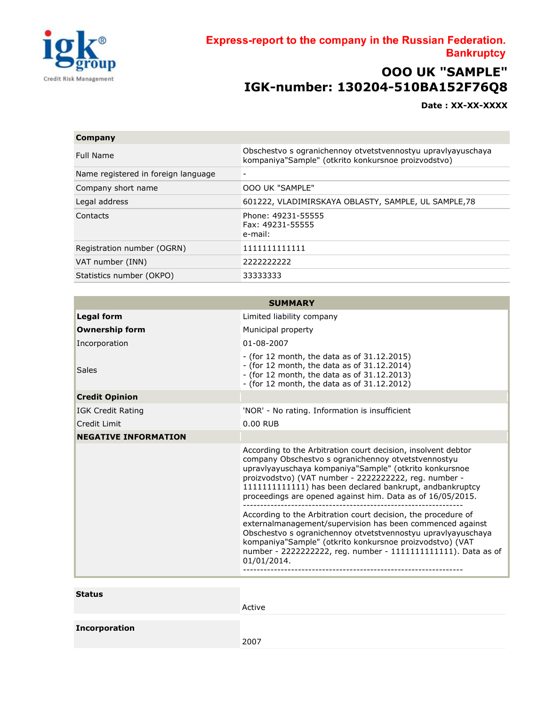

## Express-report to the company in the Russian Federation. **Bankruptcy**

## **ООО UK "SAMPLE" IGK-number: 130204-510BA152F76Q8**

**Date : XX-XX-XXXX**

## **Company** Full Name Obschestvo s ogranichennoy otvetstvennostyu upravlyayuschaya kompaniya"Sample" (otkrito konkursnoe proizvodstvo) Name registered in foreign language Company short name OOO UK "SAMPLE" Legal address 601222, VLADIMIRSKAYA OBLASTY, SAMPLE, UL SAMPLE,78 Contacts Phone: 49231-55555 Fax: 49231-55555 e-mail: Registration number (OGRN) 1111111111111 VAT number (INN) 2222222222 Statistics number (OKPO) 33333333

| <b>SUMMARY</b>              |                                                                                                                                                                                                                                                                                                                                                                    |  |  |  |
|-----------------------------|--------------------------------------------------------------------------------------------------------------------------------------------------------------------------------------------------------------------------------------------------------------------------------------------------------------------------------------------------------------------|--|--|--|
| <b>Legal form</b>           | Limited liability company                                                                                                                                                                                                                                                                                                                                          |  |  |  |
| <b>Ownership form</b>       | Municipal property                                                                                                                                                                                                                                                                                                                                                 |  |  |  |
| Incorporation               | 01-08-2007                                                                                                                                                                                                                                                                                                                                                         |  |  |  |
| <b>Sales</b>                | $-$ (for 12 month, the data as of 31.12.2015)<br>$-$ (for 12 month, the data as of 31.12.2014)<br>$-$ (for 12 month, the data as of 31.12.2013)<br>$-$ (for 12 month, the data as of 31.12.2012)                                                                                                                                                                   |  |  |  |
| <b>Credit Opinion</b>       |                                                                                                                                                                                                                                                                                                                                                                    |  |  |  |
| IGK Credit Rating           | 'NOR' - No rating. Information is insufficient                                                                                                                                                                                                                                                                                                                     |  |  |  |
| Credit Limit                | 0.00 RUB                                                                                                                                                                                                                                                                                                                                                           |  |  |  |
| <b>NEGATIVE INFORMATION</b> |                                                                                                                                                                                                                                                                                                                                                                    |  |  |  |
|                             | According to the Arbitration court decision, insolvent debtor<br>company Obschestvo s ogranichennoy otvetstvennostyu<br>upravlyayuschaya kompaniya"Sample" (otkrito konkursnoe<br>proizvodstvo) (VAT number - 2222222222, reg. number -<br>11111111111111) has been declared bankrupt, andbankruptcy<br>proceedings are opened against him. Data as of 16/05/2015. |  |  |  |
|                             | According to the Arbitration court decision, the procedure of<br>externalmanagement/supervision has been commenced against<br>Obschestvo s ogranichennoy otvetstvennostyu upravlyayuschaya<br>kompaniya"Sample" (otkrito konkursnoe proizvodstvo) (VAT<br>number - 22222222222, reg. number - 11111111111111). Data as of<br>01/01/2014.                           |  |  |  |
| Statuc                      |                                                                                                                                                                                                                                                                                                                                                                    |  |  |  |

| <b>Status</b>        |        |
|----------------------|--------|
|                      | Active |
| <b>Incorporation</b> |        |
|                      | 2007   |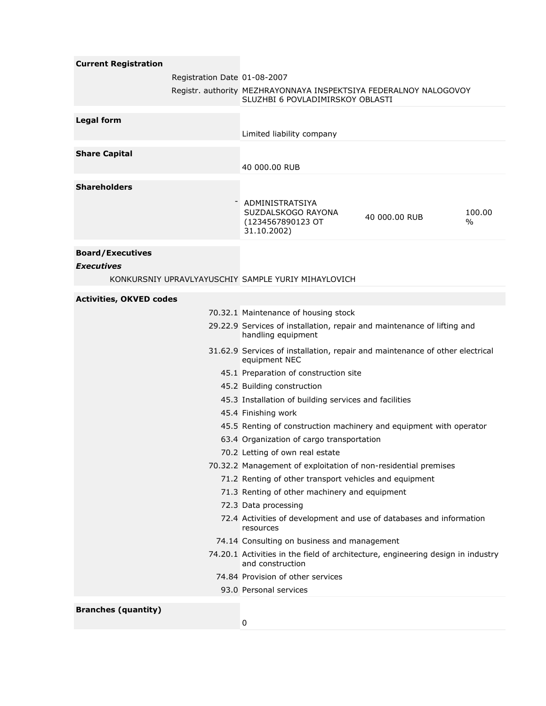| <b>Current Registration</b>    |                              |                                                                                                     |               |                |  |
|--------------------------------|------------------------------|-----------------------------------------------------------------------------------------------------|---------------|----------------|--|
|                                | Registration Date 01-08-2007 |                                                                                                     |               |                |  |
|                                |                              | Registr. authority MEZHRAYONNAYA INSPEKTSIYA FEDERALNOY NALOGOVOY                                   |               |                |  |
|                                |                              | SLUZHBI 6 POVLADIMIRSKOY OBLASTI                                                                    |               |                |  |
| <b>Legal form</b>              |                              |                                                                                                     |               |                |  |
|                                |                              | Limited liability company                                                                           |               |                |  |
| <b>Share Capital</b>           |                              |                                                                                                     |               |                |  |
|                                |                              | 40 000,00 RUB                                                                                       |               |                |  |
| <b>Shareholders</b>            |                              |                                                                                                     |               |                |  |
|                                |                              |                                                                                                     |               |                |  |
|                                |                              | ADMINISTRATSIYA<br>SUZDALSKOGO RAYONA<br>(1234567890123 OT<br>31.10.2002)                           | 40 000.00 RUB | 100.00<br>$\%$ |  |
| <b>Board/Executives</b>        |                              |                                                                                                     |               |                |  |
| <b>Executives</b>              |                              |                                                                                                     |               |                |  |
|                                |                              | KONKURSNIY UPRAVLYAYUSCHIY SAMPLE YURIY MIHAYLOVICH                                                 |               |                |  |
| <b>Activities, OKVED codes</b> |                              |                                                                                                     |               |                |  |
|                                |                              | 70.32.1 Maintenance of housing stock                                                                |               |                |  |
|                                |                              | 29.22.9 Services of installation, repair and maintenance of lifting and                             |               |                |  |
|                                |                              | handling equipment                                                                                  |               |                |  |
|                                |                              | 31.62.9 Services of installation, repair and maintenance of other electrical<br>equipment NEC       |               |                |  |
|                                |                              | 45.1 Preparation of construction site                                                               |               |                |  |
|                                |                              | 45.2 Building construction                                                                          |               |                |  |
|                                |                              | 45.3 Installation of building services and facilities                                               |               |                |  |
|                                |                              | 45.4 Finishing work                                                                                 |               |                |  |
|                                |                              | 45.5 Renting of construction machinery and equipment with operator                                  |               |                |  |
|                                |                              | 63.4 Organization of cargo transportation                                                           |               |                |  |
|                                |                              | 70.2 Letting of own real estate                                                                     |               |                |  |
|                                |                              | 70.32.2 Management of exploitation of non-residential premises                                      |               |                |  |
|                                |                              | 71.2 Renting of other transport vehicles and equipment                                              |               |                |  |
|                                |                              | 71.3 Renting of other machinery and equipment                                                       |               |                |  |
|                                |                              | 72.3 Data processing                                                                                |               |                |  |
|                                |                              | 72.4 Activities of development and use of databases and information<br>resources                    |               |                |  |
|                                |                              | 74.14 Consulting on business and management                                                         |               |                |  |
|                                |                              | 74.20.1 Activities in the field of architecture, engineering design in industry<br>and construction |               |                |  |
|                                |                              | 74.84 Provision of other services                                                                   |               |                |  |
|                                |                              | 93.0 Personal services                                                                              |               |                |  |
| <b>Branches (quantity)</b>     |                              |                                                                                                     |               |                |  |

0